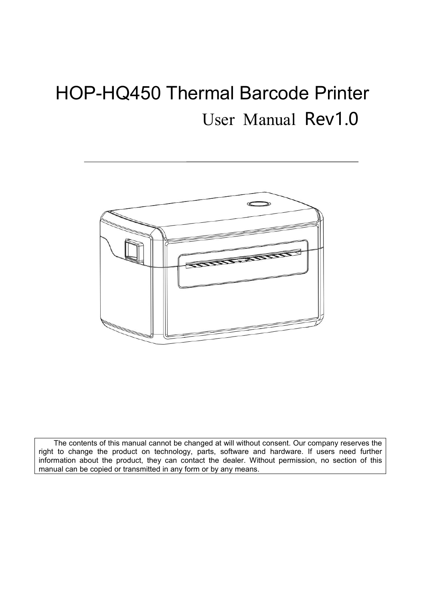# HOP-HQ450 Thermal Barcode Printer User Manual Rev1.0



The contents of this manual cannot be changed at will without consent. Our company reserves the right to change the product on technology, parts, software and hardware. If users need further information about the product, they can contact the dealer. Without permission, no section of this manual can be copied or transmitted in any form or by any means.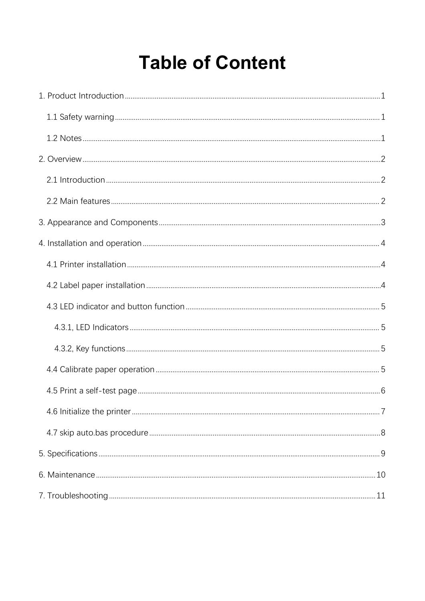# **Table of Content**

<span id="page-1-0"></span>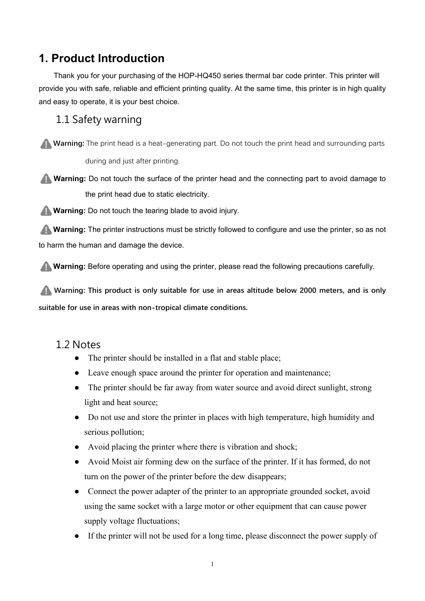## **1. Product Introduction**

Thank you for your purchasing of the HOP-HQ450 series thermal bar code printer. This printer will provide you with safe, reliable and efficient printing quality. At the same time, this printer is in high quality and easy to operate, it is your best choice.

## <span id="page-2-0"></span>1.1 Safety warning

**Warning:** The print head is a heat-generating part. Do not touch the print head and surrounding parts during and just after printing.

**Warning:** Do not touch the surface of the printer head and the connecting part to avoid damage to the print head due to static electricity.

**Warning:** Do not touch the tearing blade to avoid injury.

**Warning:** The printer instructions must be strictly followed to configure and use the printer, so as not to harm the human and damage the device.

**Warning:** Before operating and using the printer, please read the following precautions carefully.

**Warning: This product is only suitable for use in areas altitude below 2000 meters, and is only suitable for use in areas with non-tropical climate conditions.**

## <span id="page-2-1"></span>1.2 Notes

- The printer should be installed in a flat and stable place;
- Leave enough space around the printer for operation and maintenance;
- The printer should be far away from water source and avoid direct sunlight, strong light and heat source;
- Do not use and store the printer in places with high temperature, high humidity and serious pollution;
- Avoid placing the printer where there is vibration and shock;
- Avoid Moist air forming dew on the surface of the printer. If it has formed, do not turn on the power of the printer before the dew disappears;
- Connect the power adapter of the printer to an appropriate grounded socket, avoid using the same socket with a large motor or other equipment that can cause power supply voltage fluctuations;
- If the printer will not be used for a long time, please disconnect the power supply of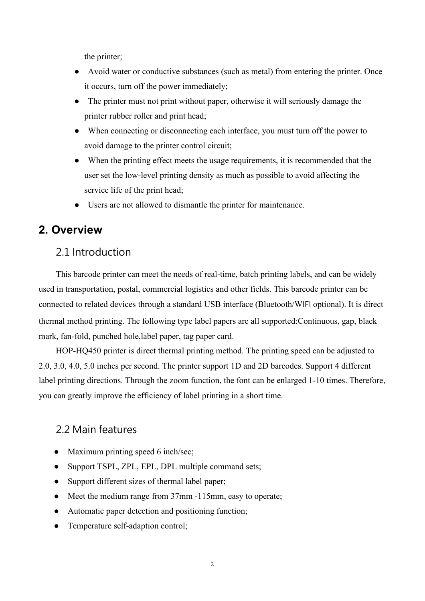the printer;

- Avoid water or conductive substances (such as metal) from entering the printer. Once it occurs, turn off the power immediately;
- The printer must not print without paper, otherwise it will seriously damage the printer rubber roller and print head;
- When connecting or disconnecting each interface, you must turn off the power to avoid damage to the printer control circuit;
- When the printing effect meets the usage requirements, it is recommended that the user set the low-level printing density as much as possible to avoid affecting the service life of the print head;
- Users are not allowed to dismantle the printer for maintenance.

## <span id="page-3-0"></span>**2. Overview**

## <span id="page-3-1"></span>2.1 Introduction

This barcode printer can meet the needs of real-time, batch printing labels, and can be widely used in transportation, postal, commercial logistics and other fields. This barcode printer can be connected to related devices through a standard USB interface (Bluetooth/WIFI optional). It is direct thermal method printing. The following type label papers are all supported:Continuous, gap, black mark, fan-fold, punched hole,label paper, tag paper card.<br>HOP-HQ450 printer is direct thermal printing method. The printing speed can be adjusted to

2.0, 3.0, 4.0, 5.0 inches per second. The printer support 1D and 2D barcodes. Support 4 different label printing directions. Through the zoom function, the font can be enlarged 1-10 times. Therefore, you can greatly improve the efficiency of label printing in a short time.

## <span id="page-3-2"></span>2.2 Main features

- Maximum printing speed 6 inch/sec;
- Support TSPL, ZPL, EPL, DPL multiple command sets;
- Support different sizes of thermal label paper;
- Meet the medium range from 37mm -115mm, easy to operate;
- Automatic paper detection and positioning function;
- Temperature self-adaption control;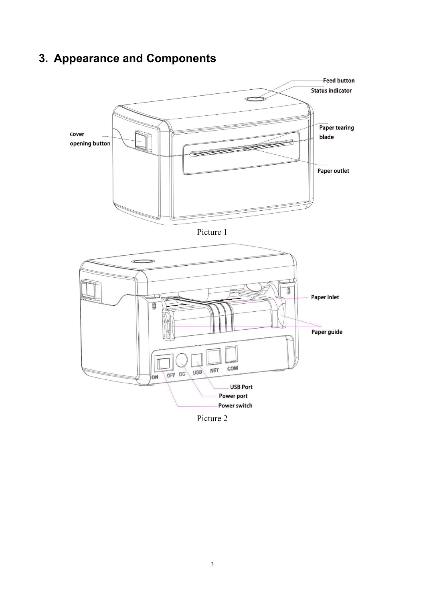## <span id="page-4-0"></span>**3. Appearance and Components**







Picture 2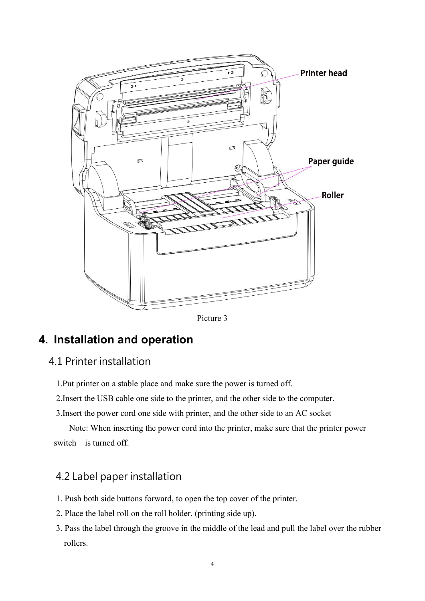

Picture 3

## <span id="page-5-0"></span>**4. Installation and operation**

## <span id="page-5-1"></span>4.1 Printer installation

- 1.Put printer on a stable place and make sure the power is turned off.
- 2.Insert the USB cable one side to the printer, and the other side to the computer.
- 3.Insert the power cord one side with printer, and the other side to an AC socket

Note: When inserting the power cord into the printer, make sure that the printer power switch is turned off.

## <span id="page-5-2"></span>4.2 Label paper installation

- 1. Push both side buttons forward, to open the top cover of the printer.
- 2. Place the label roll on the roll holder. (printing side up).
- 3. Pass the label through the groove in the middle of the lead and pull the label over the rubber rollers.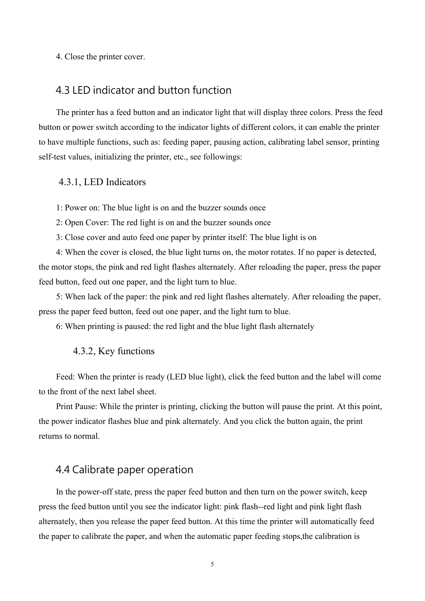4. Close the printer cover.

#### <span id="page-6-0"></span>4.3 LED indicator and button function

The printer has a feed button and an indicator light that will display three colors. Press the feed button or power switch according to the indicator lights of different colors, it can enable the printer to have multiple functions, such as: feeding paper, pausing action, calibrating label sensor, printing self-test values, initializing the printer, etc., see followings:

#### <span id="page-6-1"></span>4.3.1, LED Indicators

1: Power on: The blue light is on and the buzzer sounds once

2: Open Cover: The red light is on and the buzzer sounds once

3: Close cover and auto feed one paper by printer itself: The blue light is on

4: When the cover is closed, the blue light turns on, the motor rotates. If no paper is detected, the motor stops, the pink and red light flashes alternately. After reloading the paper, press the paper feed button, feed out one paper, and the light turn to blue.

5: When lack of the paper: the pink and red light flashes alternately. After reloading the paper, press the paper feed button, feed out one paper, and the light turn to blue.

6: When printing is paused: the red light and the blue light flash alternately

#### <span id="page-6-2"></span>4.3.2, Key functions

Feed: When the printer is ready (LED blue light), click the feed button and the label will come to the front of the next label sheet.

Print Pause: While the printer is printing, clicking the button will pause the print. At this point, the power indicator flashes blue and pink alternately. And you click the button again, the print returns to normal.

## <span id="page-6-3"></span>4.4 Calibrate paper operation

In the power-off state, press the paper feed button and then turn on the power switch, keep press the feed button until you see the indicator light: pink flash--red light and pink light flash alternately, then you release the paper feed button. At this time the printer will automatically feed the paper to calibrate the paper, and when the automatic paper feeding stops,the calibration is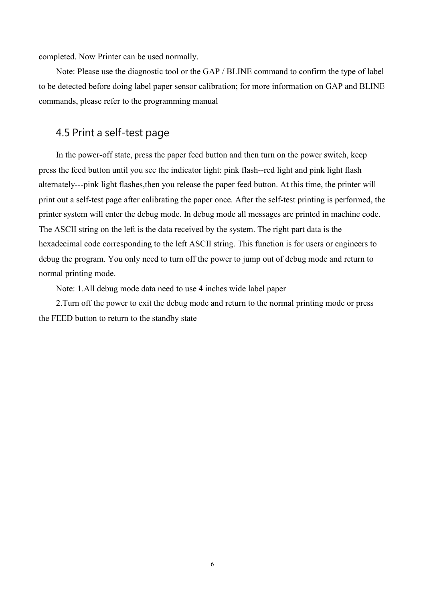completed. Now Printer can be used normally.

Note: Please use the diagnostic tool or the GAP / BLINE command to confirm the type of label to be detected before doing label paper sensor calibration; for more information on GAP and BLINE commands, please refer to the programming manual

## <span id="page-7-0"></span>4.5 Print a self-test page

In the power-off state, press the paper feed button and then turn on the power switch, keep press the feed button until you see the indicator light: pink flash--red light and pink light flash alternately---pink light flashes,then you release the paper feed button. At this time, the printer will print out a self-test page after calibrating the paper once. After the self-test printing is performed, the printer system will enter the debug mode. In debug mode all messages are printed in machine code. The ASCII string on the left is the data received by the system.The right part data is the hexadecimal code corresponding to the left ASCII string. This function is for users or engineers to debug the program. You only need to turn off the power to jump out of debug mode and return to normal printing mode.

Note: 1.All debug mode data need to use 4 inches wide label paper

2.Turn off the power to exit the debug mode and return to the normal printing mode or press the FEED button to return to the standby state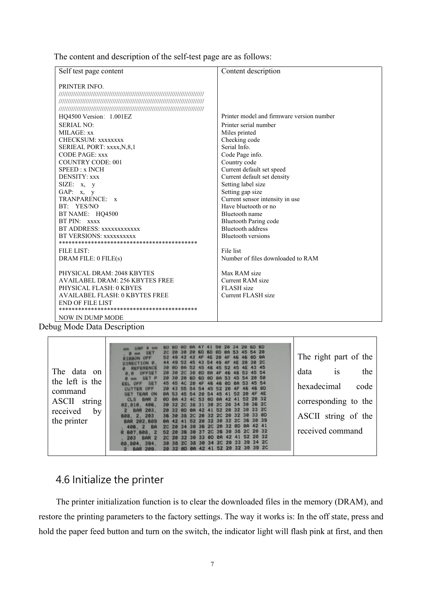The content and description of the self-test page are as follows:

| Self test page content                 | Content description                       |
|----------------------------------------|-------------------------------------------|
| PRINTER INFO.                          |                                           |
|                                        |                                           |
|                                        |                                           |
|                                        |                                           |
| HO4500 Version: 1.001EZ                | Printer model and firmware version number |
| <b>SERIAL NO:</b>                      | Printer serial number                     |
| MILAGE: xx                             | Miles printed                             |
| CHECKSUM: XXXXXXX                      | Checking code                             |
| SERIEAL PORT: xxxx, N, 8, 1            | Serial Info.                              |
| <b>CODE PAGE: xxx</b>                  | Code Page info.                           |
| <b>COUNTRY CODE: 001</b>               | Country code                              |
| SPEED: x INCH                          | Current default set speed                 |
| DENSITY: xxx                           | Current default set density               |
| SIZE: x, y                             | Setting label size                        |
| GAP: $x, y$                            | Setting gap size                          |
| TRANPARENCE: x                         | Current sensor intensity in use           |
| BT: YES/NO                             | Have bluetooth or no                      |
| BT NAME: HQ4500                        | Bluetooth name                            |
| BT PIN: xxxx                           | <b>Bluetooth Paring code</b>              |
| BT ADDRESS: xxxxxxxxxxx                | <b>Bluetooth</b> address                  |
| BT VERSIONS: xxxxxxxxxx                | <b>Bluetooth versions</b>                 |
|                                        |                                           |
| <b>FILE LIST:</b>                      | File list                                 |
| DRAM FILE: 0 FILE(s)                   | Number of files downloaded to RAM         |
|                                        |                                           |
| PHYSICAL DRAM: 2048 KBYTES             | Max RAM size                              |
| <b>AVAILABEL DRAM: 256 KBYTES FREE</b> | Current RAM size                          |
| PHYSICAL FLASH: 0 KBYES                | FLASH size                                |
| AVAILABEL FLASH: 0 KBYTES FREE         | Current FLASH size                        |
| <b>END OF FILE LIST</b>                |                                           |
|                                        |                                           |
| <b>NOW IN DUMP MODE</b><br>$\sim$      |                                           |

Debug Mode Data Description

 $\overline{a}$ 

| <b>60 60</b><br>The right part of the<br>30 ZC                                                                                                                                                            |      |
|-----------------------------------------------------------------------------------------------------------------------------------------------------------------------------------------------------------|------|
| The data on<br>data<br>1S<br>45 54<br>20 50                                                                                                                                                               | the  |
| the left is the<br>hexadecimal<br><b>46 0D</b><br>OFF<br>command<br>20 AF 4E<br><b>TEAR ON</b>                                                                                                            | code |
| 52 20 32<br>CLS BAR 2<br>string<br>corresponding to the<br>ASCII<br>2C 20 34 30 36 2C<br>02.810, 406,                                                                                                     |      |
| 42 41 52 20 32 30 33 20<br>received<br>BAR 203,<br>by<br><b>20 32 00</b><br>ASCII string of the<br>2C 20 32 2C 20 32 30 33 0D<br>608, 2, 203<br>the printer<br>52 20 32 30 32 2C 36 30 39<br>BAR 202, 609 |      |
| 36 2C 20 32 0D 0A 42 41<br>406, 2 BA<br>received command<br>37 20 36 30 38 20 20 32<br>607.608. 2<br>ZC 20 32 30 33 0D 0A 42 41 52 20 32<br>203 BAR 2                                                     |      |
| 30 38 2C 38 30 34 2C 20 33 39 34 2C<br>394.<br>08.804.<br>41 52 20 32 30 39 20                                                                                                                            |      |

## <span id="page-8-0"></span>4.6 Initialize the printer

The printer initialization function is to clear the downloaded files in the memory (DRAM), and restore the printing parameters to the factory settings. The way it works is: In the off state, press and hold the paper feed button and turn on the switch, the indicator light will flash pink at first, and then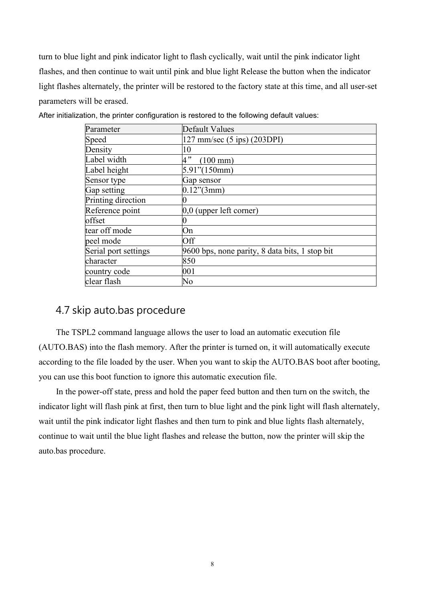turn to blue light and pink indicator light to flash cyclically, wait until the pink indicator light flashes, and then continue to wait until pink and blue light Release the button when the indicator light flashes alternately, the printer will be restored to the factory state at this time, and all user-set parameters will be erased.

| Parameter            | Default Values                                 |  |
|----------------------|------------------------------------------------|--|
| Speed                | $127$ mm/sec $(5$ ips) $(203DPI)$              |  |
| Density              | 10                                             |  |
| Label width          | 4"<br>$(100 \text{ mm})$                       |  |
| Label height         | $5.91$ "(150mm)                                |  |
| Sensor type          | Gap sensor                                     |  |
| Gap setting          | $0.12$ "(3mm)                                  |  |
| Printing direction   |                                                |  |
| Reference point      | $[0,0$ (upper left corner)                     |  |
| offset               |                                                |  |
| tear off mode        | On                                             |  |
| peel mode            | Off                                            |  |
| Serial port settings | 9600 bps, none parity, 8 data bits, 1 stop bit |  |
| character            | 850                                            |  |
| country code         | 001                                            |  |
| clear flash          | No                                             |  |

After initialization, the printer configuration is restored to the following default values:

## <span id="page-9-0"></span>4.7 skip auto.bas procedure

The TSPL2 command language allows the user to load an automatic execution file (AUTO.BAS) into the flash memory. After the printer is turned on, it will automatically execute according to the file loaded by the user. When you want to skip the AUTO.BAS boot after booting, you can use this boot function to ignore this automatic execution file.

In the power-off state, press and hold the paper feed button and then turn on the switch, the indicator light will flash pink at first, then turn to blue light and the pink light will flash alternately, wait until the pink indicator light flashes and then turn to pink and blue lights flash alternately, continue to wait until the blue light flashes and release the button, now the printer will skip the auto.bas procedure.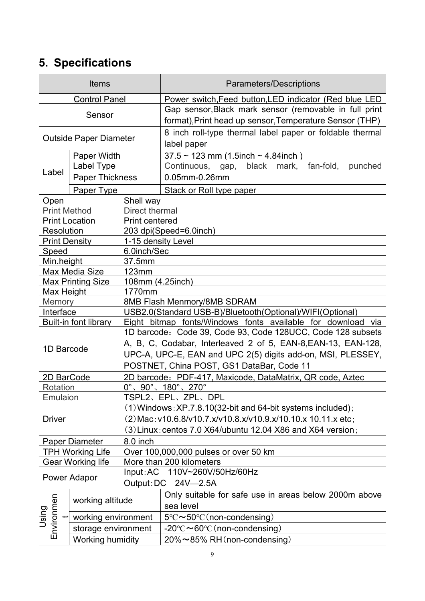## <span id="page-10-0"></span>**5. Specifications**

|                                    | <b>Items</b>             |                                                                                                                                                     | Parameters/Descriptions                                       |  |  |
|------------------------------------|--------------------------|-----------------------------------------------------------------------------------------------------------------------------------------------------|---------------------------------------------------------------|--|--|
|                                    | <b>Control Panel</b>     | Power switch, Feed button, LED indicator (Red blue LED                                                                                              |                                                               |  |  |
| Sensor                             |                          |                                                                                                                                                     | Gap sensor, Black mark sensor (removable in full print        |  |  |
|                                    |                          |                                                                                                                                                     | format), Print head up sensor, Temperature Sensor (THP)       |  |  |
| <b>Outside Paper Diameter</b>      |                          |                                                                                                                                                     | 8 inch roll-type thermal label paper or foldable thermal      |  |  |
|                                    |                          |                                                                                                                                                     | label paper                                                   |  |  |
| Paper Width                        |                          |                                                                                                                                                     | $37.5 \sim 123$ mm (1.5inch $\sim 4.84$ inch)                 |  |  |
| Label                              | Label Type               |                                                                                                                                                     | Continuous, gap,<br>black<br>mark,<br>fan-fold,<br>punched    |  |  |
|                                    | <b>Paper Thickness</b>   |                                                                                                                                                     | 0.05mm-0.26mm                                                 |  |  |
|                                    | Paper Type               |                                                                                                                                                     | Stack or Roll type paper                                      |  |  |
| Open                               |                          | Shell way                                                                                                                                           |                                                               |  |  |
| <b>Print Method</b>                |                          | Direct thermal                                                                                                                                      |                                                               |  |  |
|                                    | <b>Print Location</b>    | Print centered                                                                                                                                      |                                                               |  |  |
| Resolution<br><b>Print Density</b> |                          | 1-15 density Level                                                                                                                                  | 203 dpi(Speed=6.0inch)                                        |  |  |
| Speed                              |                          | 6.0inch/Sec                                                                                                                                         |                                                               |  |  |
| Min.height                         |                          | 37.5mm                                                                                                                                              |                                                               |  |  |
|                                    | Max Media Size           | 123mm                                                                                                                                               |                                                               |  |  |
|                                    | <b>Max Printing Size</b> | 108mm (4.25inch)                                                                                                                                    |                                                               |  |  |
| Max Height                         |                          | 1770mm                                                                                                                                              |                                                               |  |  |
| Memory                             |                          | 8MB Flash Menmory/8MB SDRAM                                                                                                                         |                                                               |  |  |
| Interface                          |                          | USB2.0(Standard USB-B)/Bluetooth(Optional)/WIFI(Optional)                                                                                           |                                                               |  |  |
|                                    |                          | Built-in font library<br>Eight bitmap fonts/Windows fonts available for download via<br>1D barcode: Code 39, Code 93, Code 128UCC, Code 128 subsets |                                                               |  |  |
|                                    |                          |                                                                                                                                                     | A, B, C, Codabar, Interleaved 2 of 5, EAN-8, EAN-13, EAN-128, |  |  |
| 1D Barcode                         |                          |                                                                                                                                                     | UPC-A, UPC-E, EAN and UPC 2(5) digits add-on, MSI, PLESSEY,   |  |  |
|                                    |                          |                                                                                                                                                     | POSTNET, China POST, GS1 DataBar, Code 11                     |  |  |
| 2D BarCode                         |                          |                                                                                                                                                     | 2D barcode: PDF-417, Maxicode, DataMatrix, QR code, Aztec     |  |  |
| Rotation                           |                          |                                                                                                                                                     | $0^{\circ}$ , $90^{\circ}$ , $180^{\circ}$ , $270^{\circ}$    |  |  |
| Emulaion                           |                          |                                                                                                                                                     | TSPL2、EPL、ZPL、DPL                                             |  |  |
|                                    |                          |                                                                                                                                                     | $(1)$ Windows: XP.7.8.10(32-bit and 64-bit systems included); |  |  |
| <b>Driver</b>                      |                          |                                                                                                                                                     | (2) Mac: v10.6.8/v10.7.x/v10.8.x/v10.9.x/10.10.x 10.11.x etc; |  |  |
|                                    |                          |                                                                                                                                                     | $(3)$ Linux: centos 7.0 X64/ubuntu 12.04 X86 and X64 version; |  |  |
|                                    | Paper Diameter           | 8.0 inch                                                                                                                                            |                                                               |  |  |
|                                    | <b>TPH Working Life</b>  | Over 100,000,000 pulses or over 50 km                                                                                                               |                                                               |  |  |
|                                    | <b>Gear Working life</b> | More than 200 kilometers                                                                                                                            |                                                               |  |  |
| Power Adapor                       |                          |                                                                                                                                                     | Input: AC 110V~260V/50Hz/60Hz                                 |  |  |
|                                    |                          |                                                                                                                                                     | Output: DC 24V-2.5A                                           |  |  |
|                                    | working altitude         |                                                                                                                                                     | Only suitable for safe use in areas below 2000m above         |  |  |
|                                    |                          |                                                                                                                                                     | sea level                                                     |  |  |
| Using                              | working environment      |                                                                                                                                                     | $5^{\circ}$ C $\sim$ 50°C (non-condensing)                    |  |  |
| Environmen                         | storage environment      |                                                                                                                                                     | $-20^{\circ}$ C $\sim$ 60°C (non-condensing)                  |  |  |
|                                    | Working humidity         |                                                                                                                                                     | 20%~85% RH (non-condensing)                                   |  |  |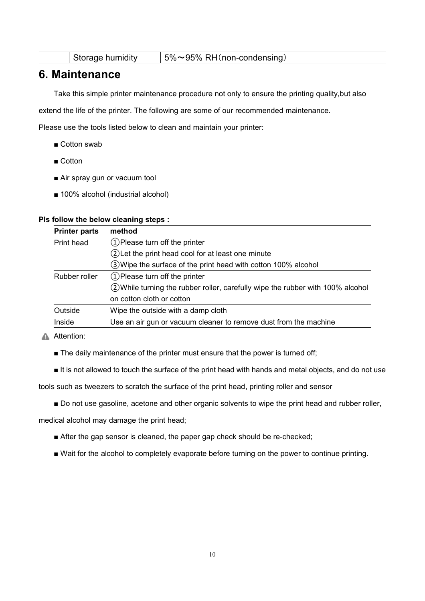| Storage humidity |  | $15\% \sim 95\%$ RH (non-condensing) |
|------------------|--|--------------------------------------|
|------------------|--|--------------------------------------|

## <span id="page-11-0"></span>**6. Maintenance**

Take this simple printer maintenance procedure not only to ensure the printing quality,but also

extend the life of the printer. The following are some of our recommended maintenance.

Please use the tools listed below to clean and maintain your printer:

- Cotton swab
- Cotton
- Air spray gun or vacuum tool
- 100% alcohol (industrial alcohol)

#### **Pls follow the below cleaning steps :**

| <b>Printer parts</b> | method                                                                             |
|----------------------|------------------------------------------------------------------------------------|
| Print head           | $(1)$ Please turn off the printer                                                  |
|                      | 2) Let the print head cool for at least one minute                                 |
|                      | 3) Wipe the surface of the print head with cotton 100% alcohol                     |
| Rubber roller        | $(1)$ Please turn off the printer                                                  |
|                      | $(2)$ While turning the rubber roller, carefully wipe the rubber with 100% alcohol |
|                      | on cotton cloth or cotton                                                          |
| Outside              | Wipe the outside with a damp cloth                                                 |
| Inside               | Use an air gun or vacuum cleaner to remove dust from the machine                   |

#### **A** Attention:

- The daily maintenance of the printer must ensure that the power is turned off;
- It is not allowed to touch the surface of the print head with hands and metal objects, and do not use

tools such as tweezers to scratch the surface of the print head, printing roller and sensor

■ Do not use gasoline, acetone and other organic solvents to wipe the print head and rubber roller,

medical alcohol may damage the print head;

- After the gap sensor is cleaned, the paper gap check should be re-checked;
- Wait for the alcohol to completely evaporate before turning on the power to continue printing.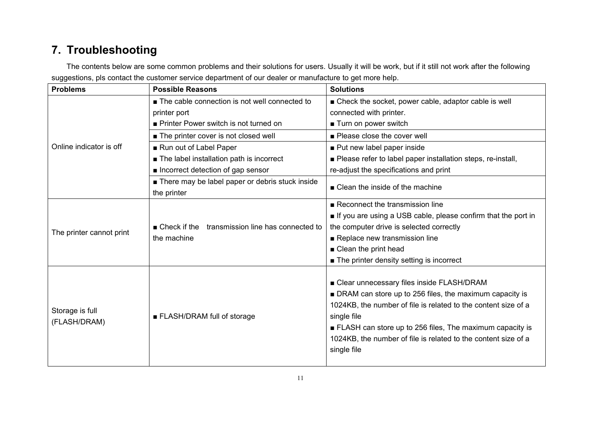## **7. Troubleshooting**

The contents below are some common problems and their solutions for users. Usually it will be work, but if it still not work after the following suggestions, pls contact the customer service department of our dealer or manufacture to get more help.

<span id="page-12-0"></span>

| <b>Problems</b>          | <b>Possible Reasons</b>                                           | <b>Solutions</b>                                               |
|--------------------------|-------------------------------------------------------------------|----------------------------------------------------------------|
|                          | The cable connection is not well connected to                     | ■ Check the socket, power cable, adaptor cable is well         |
|                          | printer port                                                      | connected with printer.                                        |
|                          | Printer Power switch is not turned on                             | ■ Turn on power switch                                         |
|                          | ■ The printer cover is not closed well                            | ■ Please close the cover well                                  |
| Online indicator is off  | Run out of Label Paper                                            | ■ Put new label paper inside                                   |
|                          | ■ The label installation path is incorrect                        | ■ Please refer to label paper installation steps, re-install,  |
|                          | Incorrect detection of gap sensor                                 | re-adjust the specifications and print                         |
|                          | ■ There may be label paper or debris stuck inside<br>the printer  | ■ Clean the inside of the machine                              |
|                          |                                                                   | Reconnect the transmission line                                |
|                          |                                                                   | If you are using a USB cable, please confirm that the port in  |
| The printer cannot print | $\blacksquare$ Check if the<br>transmission line has connected to | the computer drive is selected correctly                       |
|                          | the machine                                                       | Replace new transmission line                                  |
|                          |                                                                   | $\blacksquare$ Clean the print head                            |
|                          |                                                                   | $\blacksquare$ The printer density setting is incorrect        |
|                          |                                                                   | ■ Clear unnecessary files inside FLASH/DRAM                    |
|                          |                                                                   | DRAM can store up to 256 files, the maximum capacity is        |
|                          |                                                                   | 1024KB, the number of file is related to the content size of a |
| Storage is full          | ■ FLASH/DRAM full of storage                                      | single file                                                    |
| (FLASH/DRAM)             |                                                                   | ELASH can store up to 256 files, The maximum capacity is       |
|                          |                                                                   | 1024KB, the number of file is related to the content size of a |
|                          |                                                                   | single file                                                    |
|                          |                                                                   |                                                                |